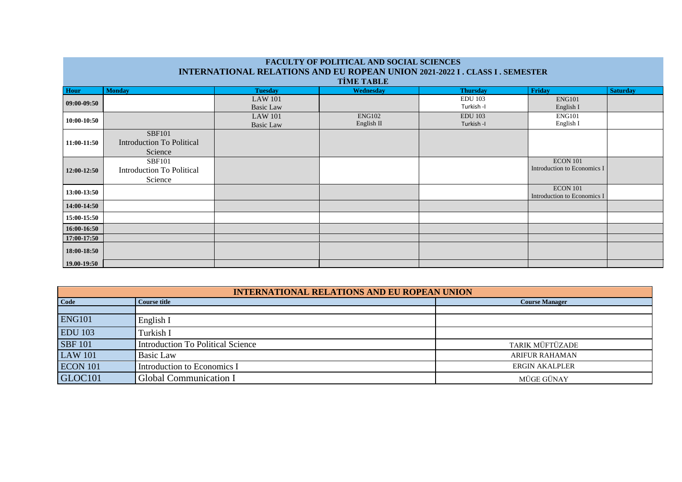| The contract of Tommulation because being the contract of<br><b>INTERNATIONAL RELATIONS AND EU ROPEAN UNION 2021-2022 I . CLASS I . SEMESTER</b><br><b>TİME TABLE</b> |                                                              |                                    |                      |                              |                                                |                 |
|-----------------------------------------------------------------------------------------------------------------------------------------------------------------------|--------------------------------------------------------------|------------------------------------|----------------------|------------------------------|------------------------------------------------|-----------------|
| Hour                                                                                                                                                                  | <b>Monday</b>                                                | <b>Tuesday</b>                     | Wednesday            | <b>Thursday</b>              | <b>Friday</b>                                  | <b>Saturday</b> |
| 09:00-09:50                                                                                                                                                           |                                                              | <b>LAW 101</b><br><b>Basic Law</b> |                      | <b>EDU 103</b><br>Turkish -I | <b>ENG101</b><br>English I                     |                 |
| 10:00-10:50                                                                                                                                                           |                                                              | <b>LAW 101</b><br><b>Basic Law</b> | ENG102<br>English II | <b>EDU</b> 103<br>Turkish -I | <b>ENG101</b><br>English I                     |                 |
| 11:00-11:50                                                                                                                                                           | <b>SBF101</b><br><b>Introduction To Political</b><br>Science |                                    |                      |                              |                                                |                 |
| 12:00-12:50                                                                                                                                                           | <b>SBF101</b><br>Introduction To Political<br>Science        |                                    |                      |                              | <b>ECON 101</b><br>Introduction to Economics I |                 |
| 13:00-13:50                                                                                                                                                           |                                                              |                                    |                      |                              | <b>ECON 101</b><br>Introduction to Economics I |                 |
| 14:00-14:50                                                                                                                                                           |                                                              |                                    |                      |                              |                                                |                 |
| 15:00-15:50                                                                                                                                                           |                                                              |                                    |                      |                              |                                                |                 |
| 16:00-16:50                                                                                                                                                           |                                                              |                                    |                      |                              |                                                |                 |
| 17:00-17:50                                                                                                                                                           |                                                              |                                    |                      |                              |                                                |                 |
| 18:00-18:50                                                                                                                                                           |                                                              |                                    |                      |                              |                                                |                 |
| 19.00-19:50                                                                                                                                                           |                                                              |                                    |                      |                              |                                                |                 |

| <b>INTERNATIONAL RELATIONS AND EU ROPEAN UNION</b> |                                          |                       |  |  |  |
|----------------------------------------------------|------------------------------------------|-----------------------|--|--|--|
|                                                    |                                          |                       |  |  |  |
| Code                                               | <b>Course title</b>                      | <b>Course Manager</b> |  |  |  |
|                                                    |                                          |                       |  |  |  |
| <b>ENG101</b>                                      | English I                                |                       |  |  |  |
| <b>EDU 103</b>                                     | Turkish I                                |                       |  |  |  |
| <b>SBF 101</b>                                     | <b>Introduction To Political Science</b> | TARIK MÜFTÜZADE       |  |  |  |
| <b>LAW 101</b>                                     | <b>Basic Law</b>                         | <b>ARIFUR RAHAMAN</b> |  |  |  |
| <b>ECON 101</b>                                    | Introduction to Economics I              | <b>ERGIN AKALPLER</b> |  |  |  |
| GLOC101                                            | <b>Global Communication I</b>            | MÜGE GÜNAY            |  |  |  |

## **FACULTY OF POLITICAL AND SOCIAL SCIENCES**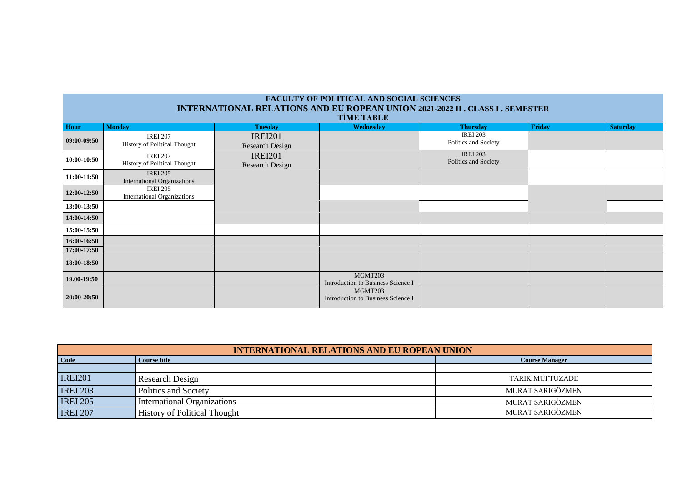| <b>FACULTY OF POLITICAL AND SOCIAL SCIENCES</b> |                                    |                 |                                               |                                                                                      |               |                 |
|-------------------------------------------------|------------------------------------|-----------------|-----------------------------------------------|--------------------------------------------------------------------------------------|---------------|-----------------|
|                                                 |                                    |                 |                                               | <b>INTERNATIONAL RELATIONS AND EU ROPEAN UNION 2021-2022 II . CLASS I . SEMESTER</b> |               |                 |
|                                                 | <b>TIME TABLE</b>                  |                 |                                               |                                                                                      |               |                 |
| Hour                                            | <b>Monday</b>                      | <b>Tuesday</b>  | Wednesday                                     | <b>Thursday</b>                                                                      | <b>Friday</b> | <b>Saturday</b> |
| $09:00-09:50$                                   | <b>IREI 207</b>                    | <b>IREI201</b>  |                                               | <b>IREI 203</b>                                                                      |               |                 |
|                                                 | History of Political Thought       | Research Design |                                               | Politics and Society                                                                 |               |                 |
|                                                 | <b>IREI 207</b>                    | <b>IREI201</b>  |                                               | <b>IREI 203</b>                                                                      |               |                 |
| 10:00-10:50                                     | History of Political Thought       | Research Design |                                               | Politics and Society                                                                 |               |                 |
| 11:00-11:50                                     | <b>IREI 205</b>                    |                 |                                               |                                                                                      |               |                 |
|                                                 | <b>International Organizations</b> |                 |                                               |                                                                                      |               |                 |
| 12:00-12:50                                     | <b>IREI 205</b>                    |                 |                                               |                                                                                      |               |                 |
|                                                 | <b>International Organizations</b> |                 |                                               |                                                                                      |               |                 |
| 13:00-13:50                                     |                                    |                 |                                               |                                                                                      |               |                 |
| 14:00-14:50                                     |                                    |                 |                                               |                                                                                      |               |                 |
| 15:00-15:50                                     |                                    |                 |                                               |                                                                                      |               |                 |
| 16:00-16:50                                     |                                    |                 |                                               |                                                                                      |               |                 |
| 17:00-17:50                                     |                                    |                 |                                               |                                                                                      |               |                 |
| 18:00-18:50                                     |                                    |                 |                                               |                                                                                      |               |                 |
| 19.00-19:50                                     |                                    |                 | MGMT203<br>Introduction to Business Science I |                                                                                      |               |                 |
| 20:00-20:50                                     |                                    |                 | MGMT203<br>Introduction to Business Science I |                                                                                      |               |                 |

| <b>INTERNATIONAL RELATIONS AND EU ROPEAN UNION</b> |                                     |                       |
|----------------------------------------------------|-------------------------------------|-----------------------|
| Code                                               | Course title                        | <b>Course Manager</b> |
|                                                    |                                     |                       |
| <b>IREI201</b>                                     | Research Design                     | TARIK MÜFTÜZADE       |
| <b>IREI 203</b>                                    | Politics and Society                | MURAT SARIGÖZMEN      |
| <b>IREI 205</b>                                    | International Organizations         | MURAT SARIGÖZMEN      |
| <b>IREI 207</b>                                    | <b>History of Political Thought</b> | MURAT SARIGÖZMEN      |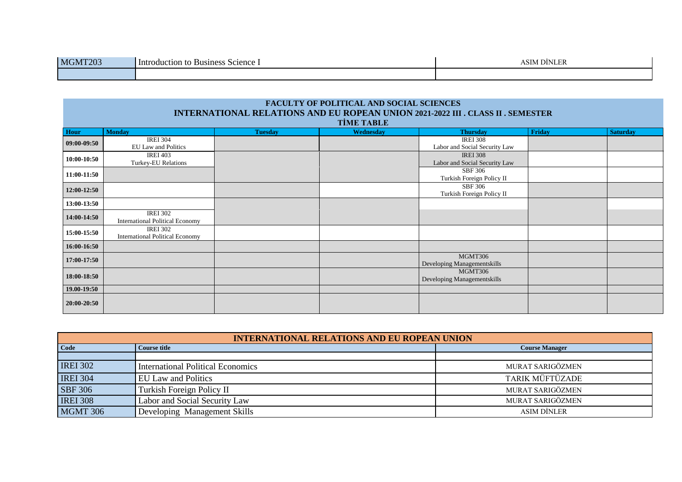| MGMT203 | Science<br>-Intr<br><b>Business</b><br>roduction to | IM DINLER<br>$\sim$<br>,,,, |
|---------|-----------------------------------------------------|-----------------------------|
|         |                                                     |                             |

| <b>FACULTY OF POLITICAL AND SOCIAL SCIENCES</b> |                                                           |                |                   |                                                                                        |        |                 |
|-------------------------------------------------|-----------------------------------------------------------|----------------|-------------------|----------------------------------------------------------------------------------------|--------|-----------------|
|                                                 |                                                           |                |                   | <b>INTERNATIONAL RELATIONS AND EU ROPEAN UNION 2021-2022 III . CLASS II . SEMESTER</b> |        |                 |
|                                                 |                                                           |                | <b>TİME TABLE</b> |                                                                                        |        |                 |
| Hour                                            | <b>Monday</b>                                             | <b>Tuesday</b> | Wednesday         | <b>Thursday</b>                                                                        | Friday | <b>Saturday</b> |
| $09:00-09:50$                                   | <b>IREI 304</b><br>EU Law and Politics                    |                |                   | <b>IREI 308</b><br>Labor and Social Security Law                                       |        |                 |
| 10:00-10:50                                     | <b>IREI 403</b><br>Turkey-EU Relations                    |                |                   | <b>IREI 308</b><br>Labor and Social Security Law                                       |        |                 |
| 11:00-11:50                                     |                                                           |                |                   | SBF 306<br>Turkish Foreign Policy II                                                   |        |                 |
| 12:00-12:50                                     |                                                           |                |                   | <b>SBF 306</b><br>Turkish Foreign Policy II                                            |        |                 |
| 13:00-13:50                                     |                                                           |                |                   |                                                                                        |        |                 |
| 14:00-14:50                                     | <b>IREI 302</b><br><b>International Political Economy</b> |                |                   |                                                                                        |        |                 |
| 15:00-15:50                                     | <b>IREI 302</b><br><b>International Political Economy</b> |                |                   |                                                                                        |        |                 |
| 16:00-16:50                                     |                                                           |                |                   |                                                                                        |        |                 |
| 17:00-17:50                                     |                                                           |                |                   | MGMT306<br>Developing Managementskills                                                 |        |                 |
| 18:00-18:50                                     |                                                           |                |                   | MGMT306<br>Developing Managementskills                                                 |        |                 |
| 19.00-19:50                                     |                                                           |                |                   |                                                                                        |        |                 |
| 20:00-20:50                                     |                                                           |                |                   |                                                                                        |        |                 |

| <b>INTERNATIONAL RELATIONS AND EU ROPEAN UNION</b> |                                   |                       |
|----------------------------------------------------|-----------------------------------|-----------------------|
| <b>Code</b>                                        | <b>Course title</b>               | <b>Course Manager</b> |
|                                                    |                                   |                       |
| <b>IREI 302</b>                                    | International Political Economics | MURAT SARIGÖZMEN      |
| <b>IREI 304</b>                                    | <b>EU Law and Politics</b>        | TARIK MÜFTÜZADE       |
| <b>SBF 306</b>                                     | Turkish Foreign Policy II         | MURAT SARIGÖZMEN      |
| <b>IREI 308</b>                                    | Labor and Social Security Law     | MURAT SARIGÖZMEN      |
| <b>MGMT 306</b>                                    | Developing Management Skills      | <b>ASIM DİNLER</b>    |